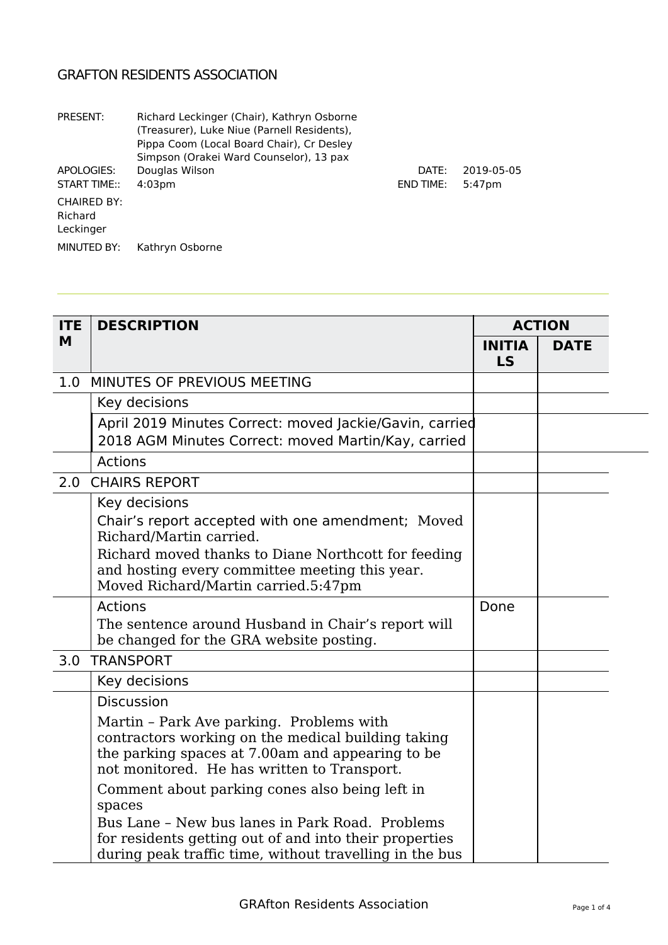## GRAFTON RESIDENTS ASSOCIATION

| PRESENT:                                   | Richard Leckinger (Chair), Kathryn Osborne<br>(Treasurer), Luke Niue (Parnell Residents),<br>Pippa Coom (Local Board Chair), Cr Desley<br>Simpson (Orakei Ward Counselor), 13 pax |                  |            |
|--------------------------------------------|-----------------------------------------------------------------------------------------------------------------------------------------------------------------------------------|------------------|------------|
| APOLOGIES:                                 | Douglas Wilson                                                                                                                                                                    | DATE:            | 2019-05-05 |
| START TIME::                               | 4:03 <sub>pm</sub>                                                                                                                                                                | <b>END TIME:</b> | $5:47$ pm  |
| <b>CHAIRED BY:</b><br>Richard<br>Leckinger |                                                                                                                                                                                   |                  |            |
| MINUTED BY:                                | Kathryn Osborne                                                                                                                                                                   |                  |            |

| <b>ITE</b> | <b>DESCRIPTION</b>                                                                                                                                                                                |                     | <b>ACTION</b> |
|------------|---------------------------------------------------------------------------------------------------------------------------------------------------------------------------------------------------|---------------------|---------------|
| M          |                                                                                                                                                                                                   | <b>INITIA</b><br>LS | <b>DATE</b>   |
| 1.0        | MINUTES OF PREVIOUS MEETING                                                                                                                                                                       |                     |               |
|            | Key decisions                                                                                                                                                                                     |                     |               |
|            | April 2019 Minutes Correct: moved Jackie/Gavin, carried<br>2018 AGM Minutes Correct: moved Martin/Kay, carried                                                                                    |                     |               |
|            | <b>Actions</b>                                                                                                                                                                                    |                     |               |
| 2.0        | <b>CHAIRS REPORT</b>                                                                                                                                                                              |                     |               |
|            | Key decisions                                                                                                                                                                                     |                     |               |
|            | Chair's report accepted with one amendment; Moved<br>Richard/Martin carried.                                                                                                                      |                     |               |
|            | Richard moved thanks to Diane Northcott for feeding<br>and hosting every committee meeting this year.<br>Moved Richard/Martin carried.5:47pm                                                      |                     |               |
|            | <b>Actions</b>                                                                                                                                                                                    | Done                |               |
|            | The sentence around Husband in Chair's report will<br>be changed for the GRA website posting.                                                                                                     |                     |               |
| 3.0        | <b>TRANSPORT</b>                                                                                                                                                                                  |                     |               |
|            | Key decisions                                                                                                                                                                                     |                     |               |
|            | <b>Discussion</b>                                                                                                                                                                                 |                     |               |
|            | Martin - Park Ave parking. Problems with<br>contractors working on the medical building taking<br>the parking spaces at 7.00am and appearing to be<br>not monitored. He has written to Transport. |                     |               |
|            | Comment about parking cones also being left in<br>spaces                                                                                                                                          |                     |               |
|            | Bus Lane - New bus lanes in Park Road. Problems<br>for residents getting out of and into their properties<br>during peak traffic time, without travelling in the bus                              |                     |               |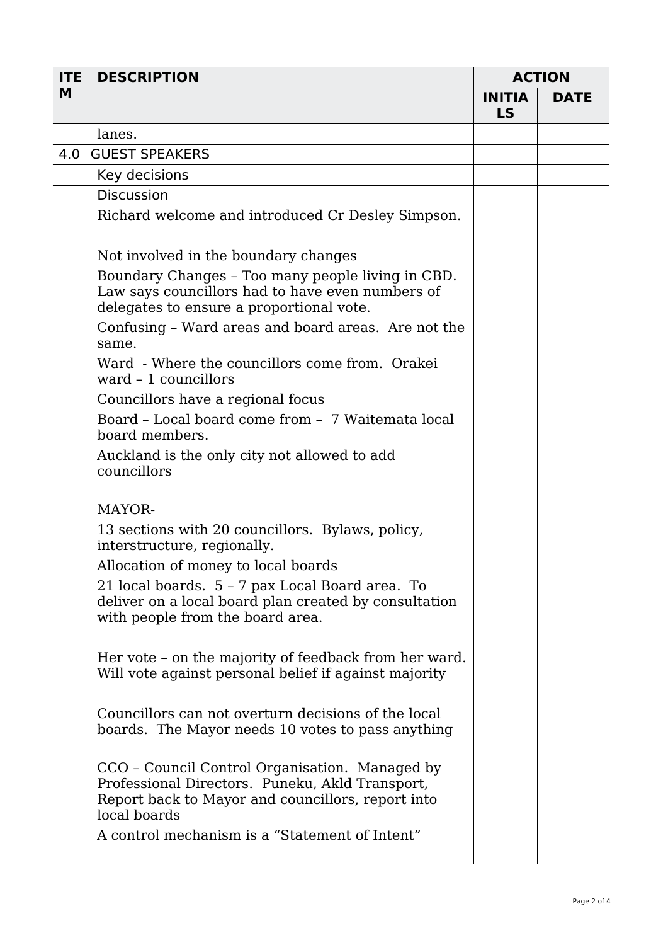| <b>ITE</b> | <b>DESCRIPTION</b>                                                                                                                                                     | <b>ACTION</b>       |             |
|------------|------------------------------------------------------------------------------------------------------------------------------------------------------------------------|---------------------|-------------|
| M          |                                                                                                                                                                        | <b>INITIA</b><br>LS | <b>DATE</b> |
|            | lanes.                                                                                                                                                                 |                     |             |
| 4.0        | <b>GUEST SPEAKERS</b>                                                                                                                                                  |                     |             |
|            | Key decisions                                                                                                                                                          |                     |             |
|            | <b>Discussion</b>                                                                                                                                                      |                     |             |
|            | Richard welcome and introduced Cr Desley Simpson.                                                                                                                      |                     |             |
|            | Not involved in the boundary changes                                                                                                                                   |                     |             |
|            | Boundary Changes - Too many people living in CBD.<br>Law says councillors had to have even numbers of<br>delegates to ensure a proportional vote.                      |                     |             |
|            | Confusing - Ward areas and board areas. Are not the<br>same.                                                                                                           |                     |             |
|            | Ward - Where the councillors come from. Orakei<br>ward $-1$ councillors                                                                                                |                     |             |
|            | Councillors have a regional focus                                                                                                                                      |                     |             |
|            | Board - Local board come from - 7 Waitemata local<br>board members.                                                                                                    |                     |             |
|            | Auckland is the only city not allowed to add<br>councillors                                                                                                            |                     |             |
|            | MAYOR-                                                                                                                                                                 |                     |             |
|            | 13 sections with 20 councillors. Bylaws, policy,<br>interstructure, regionally.                                                                                        |                     |             |
|            | Allocation of money to local boards                                                                                                                                    |                     |             |
|            | 21 local boards. 5 - 7 pax Local Board area. To<br>deliver on a local board plan created by consultation<br>with people from the board area.                           |                     |             |
|            | Her vote - on the majority of feedback from her ward.<br>Will vote against personal belief if against majority                                                         |                     |             |
|            | Councillors can not overturn decisions of the local<br>boards. The Mayor needs 10 votes to pass anything                                                               |                     |             |
|            | CCO - Council Control Organisation. Managed by<br>Professional Directors. Puneku, Akld Transport,<br>Report back to Mayor and councillors, report into<br>local boards |                     |             |
|            | A control mechanism is a "Statement of Intent"                                                                                                                         |                     |             |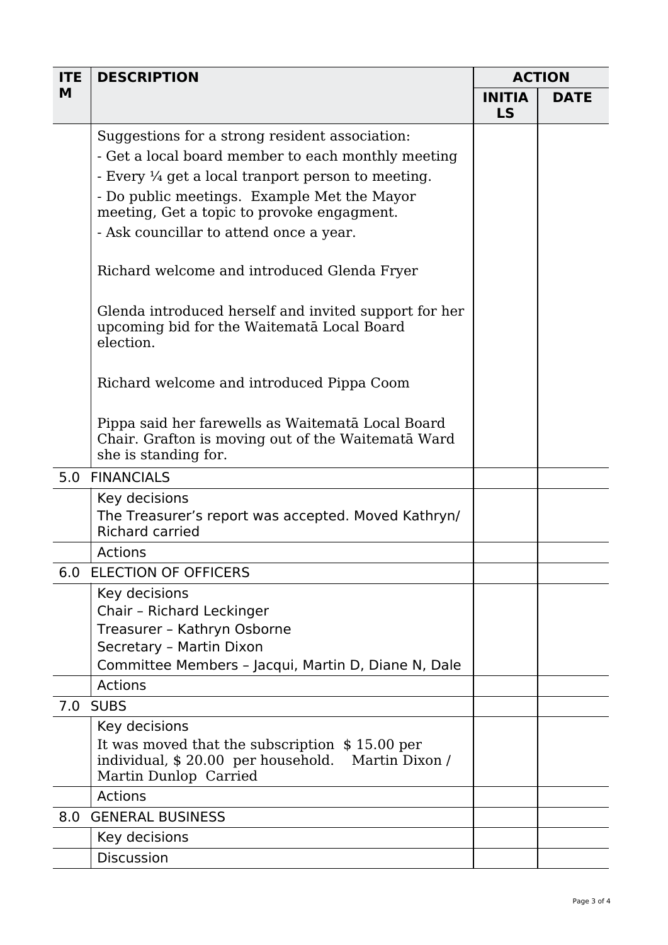| <b>ITE</b> | <b>DESCRIPTION</b>                                                                                                              | <b>ACTION</b>              |             |
|------------|---------------------------------------------------------------------------------------------------------------------------------|----------------------------|-------------|
| M          |                                                                                                                                 | <b>INITIA</b><br><b>LS</b> | <b>DATE</b> |
|            | Suggestions for a strong resident association:                                                                                  |                            |             |
|            | - Get a local board member to each monthly meeting                                                                              |                            |             |
|            | - Every 1/4 get a local tranport person to meeting.                                                                             |                            |             |
|            | - Do public meetings. Example Met the Mayor<br>meeting, Get a topic to provoke engagment.                                       |                            |             |
|            | - Ask councillar to attend once a year.                                                                                         |                            |             |
|            | Richard welcome and introduced Glenda Fryer                                                                                     |                            |             |
|            | Glenda introduced herself and invited support for her<br>upcoming bid for the Waitemata Local Board<br>election.                |                            |             |
|            | Richard welcome and introduced Pippa Coom                                                                                       |                            |             |
|            | Pippa said her farewells as Waitemata Local Board<br>Chair. Grafton is moving out of the Waitemata Ward<br>she is standing for. |                            |             |
|            | 5.0 FINANCIALS                                                                                                                  |                            |             |
|            | Key decisions                                                                                                                   |                            |             |
|            | The Treasurer's report was accepted. Moved Kathryn/<br><b>Richard carried</b>                                                   |                            |             |
|            | <b>Actions</b>                                                                                                                  |                            |             |
|            | 6.0 ELECTION OF OFFICERS                                                                                                        |                            |             |
|            | Key decisions                                                                                                                   |                            |             |
|            | Chair - Richard Leckinger                                                                                                       |                            |             |
|            | Treasurer - Kathryn Osborne<br>Secretary - Martin Dixon                                                                         |                            |             |
|            | Committee Members - Jacqui, Martin D, Diane N, Dale                                                                             |                            |             |
|            | <b>Actions</b>                                                                                                                  |                            |             |
|            | <b>7.0 SUBS</b>                                                                                                                 |                            |             |
|            | Key decisions                                                                                                                   |                            |             |
|            | It was moved that the subscription \$15.00 per<br>individual, \$20.00 per household. Martin Dixon /<br>Martin Dunlop Carried    |                            |             |
|            | <b>Actions</b>                                                                                                                  |                            |             |
| 8.0        | <b>GENERAL BUSINESS</b>                                                                                                         |                            |             |
|            | Key decisions                                                                                                                   |                            |             |
|            | <b>Discussion</b>                                                                                                               |                            |             |